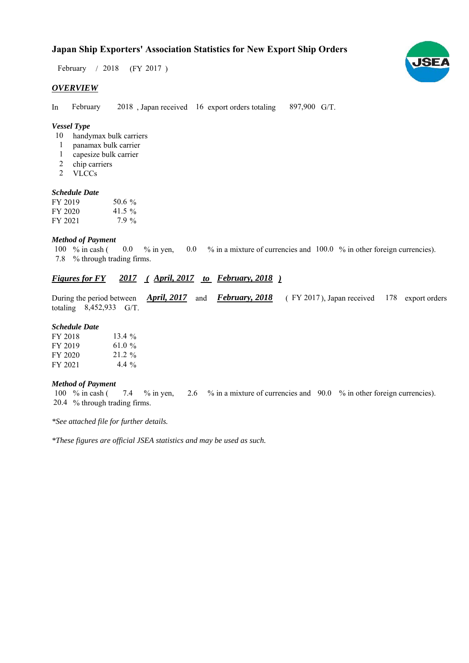# **Japan Ship Exporters' Association Statistics for New Export Ship Orders**

February / 2018 (FY 2017)

## *OVERVIEW*

In February 2018, Japan received 16 export orders totaling 897,900 G/T. February

## *Vessel Type*

- 10 handymax bulk carriers
- panamax bulk carrier 1
- capesize bulk carrier 1
- 2 chip carriers
- VLCCs 2

#### *Schedule Date*

| FY 2019 | 50.6 $\%$ |
|---------|-----------|
| FY 2020 | 41.5 $\%$ |
| FY 2021 | $7.9\%$   |

#### *Method of Payment*

% in cash ( $\ 0.0\ 8$  in yen,  $\ 0.0\ 8$  in a mixture of currencies and  $\ 100.0\ 8$  in other foreign currencies). % through trading firms. 7.8 100  $%$  in cash ( 0.0

# *Figures for FY* 2017 (*April, 2017 to February, 2018* )

During the period between *April, 2017* and *February, 2018* (FY 2017), Japan received 178 export orders totaling  $8,452,933$  G/T. FY 2017), Japan received 178

#### *Schedule Date*

| FY 2018 | 13.4 $%$ |
|---------|----------|
| FY 2019 | 61.0 %   |
| FY 2020 | $21.2\%$ |
| FY 2021 | 4.4 $\%$ |

#### *Method of Payment*

% in cash ( % in yen, % in a mixture of currencies and % in other foreign currencies). 7.4 2.6 90.0 % through trading firms. 20.4 100  $%$  in cash (

*\*See attached file for further details.*

*\*These figures are official JSEA statistics and may be used as such.*

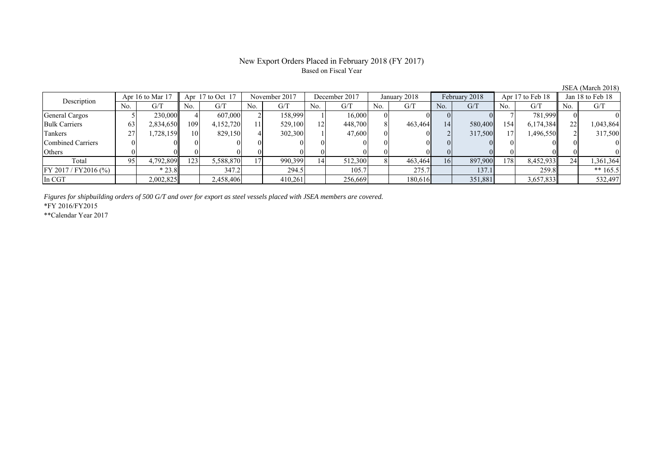## New Export Orders Placed in February 2018 (FY 2017) Based on Fiscal Year

No. G/T No. G/T No. G/T No. G/T No. G/T No. G/T No. G/T No. G/T General Cargos ( 1 5 230,000 4 607,000 2 158,999 1 16,000 0 0 0 0 0 7 781,999 0 0 Bulk Carriers 63 2,834,650 109 4,152,720 11 529,100 12 448,700 8 463,464 14 580,400 154 6,174,384 22 1,043,864 Tankers | 27 | 1,728,159 || 10 | 829,150 | 4 | 302,300 | 1 | 47,600 | 0 | 0 | 2 | 317,500 | 17 | 1,496,550 || 2 | 317,500 Combined Carriers 0 0 0 0 0 0 0 0 0 0 0 0 0 0 0 0 Others | 0 | 0 || 0 || 0 || 0 || 0 || 0 || 0 || 0 || 0 || 0 | Total 95 4,792,809 123 5,588,870 17 990,399 14 512,300 8 463,464 16 897,900 178 8,452,933 24 1,361,364 FY 2017/FY2016 (%) \* 23.8 347.2 294.5 105.7 275.7 137.1 259.8 \*\* 165.5 In CGT | | 2,002,825|| | 2,458,406| | 410,261| | 256,669| | 180,616| | 351,881| | 3,657,833|| | 532,497 Description Apr 16 to Mar 17 || Apr 17 to Oct 17 || November 2017 || December 2017 || January 2018 || February 2018 || Apr 17 to Feb 18 || Jan 18 to Feb 18

*Figures for shipbuilding orders of 500 G/T and over for export as steel vessels placed with JSEA members are covered.*

\*FY 2016/FY2015

\*\*Calendar Year 2017

JSEA (March 2018)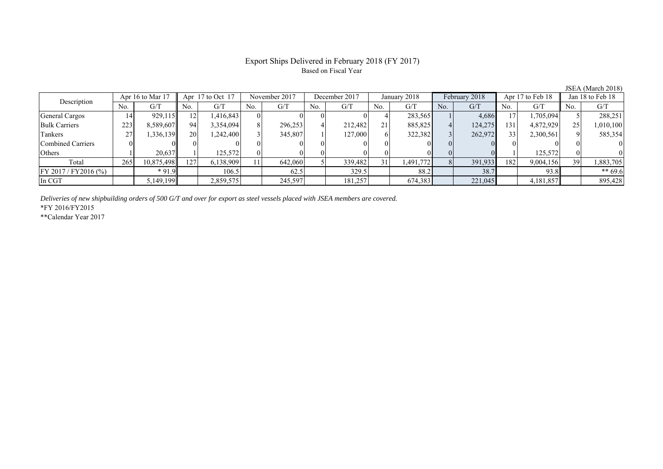# Export Ships Delivered in February 2018 (FY 2017) Based on Fiscal Year

| Apr 16 to Mar 17<br>Description |     | Apr $17$ to Oct $17$ |     | November 2017 |     | December 2017 |     | January 2018 |                 | February 2018 |     | Apr 17 to Feb 18 |     | Jan 18 to Feb 18 |     |           |
|---------------------------------|-----|----------------------|-----|---------------|-----|---------------|-----|--------------|-----------------|---------------|-----|------------------|-----|------------------|-----|-----------|
|                                 | No. | G/T                  | No. | G/T           | No. | G/T           | No. | G/T          | No.             | G/T           | No. | G/T              | No. | G/T              | No. | G/T       |
| <b>General Cargos</b>           | 14  | 929,115              |     | 1,416,843     |     |               |     |              |                 | 283,565       |     | 4,686            |     | 1,705,094        |     | 288,251   |
| <b>Bulk Carriers</b>            | 223 | 8,589,607            | 94  | 3,354,094     |     | 296,253       |     | 212.482      | 21 <sub>1</sub> | 885,825       |     | 124,275          | 131 | 4,872,929        |     | 1,010,100 |
| Tankers                         | 27  | 336,139              | 20  | 1,242,400     |     | 345,807       |     | 127,000      | 61              | 322,382       |     | 262,972          | 33  | 2,300,561        |     | 585,354   |
| Combined Carriers               |     |                      |     |               |     |               |     |              |                 |               |     |                  |     |                  |     |           |
| Others                          |     | 20.637               |     | 125,572       |     |               |     |              |                 |               |     |                  |     | 125.572          |     |           |
| Total                           | 265 | 10,875,498           | 127 | 6,138,909     |     | 642,060       |     | 339,482      | 31              | 1,491,772     |     | 391,933          | 182 | 9,004,156        | 39  | 1,883,705 |
| $FY 2017 / FY 2016$ (%)         |     | $*91.9$              |     | 106.5         |     | 62.5          |     | 329.5        |                 | 88.2          |     | 38.7             |     | 93.8             |     | $** 69.6$ |
| In CGT                          |     | 5,149,199            |     | 2,859,575     |     | 245,597       |     | 181,257      |                 | 674,383       |     | 221,045          |     | 4,181,857        |     | 895,428   |

*Deliveries of new shipbuilding orders of 500 G/T and over for export as steel vessels placed with JSEA members are covered.*

\*FY 2016/FY2015

\*\*Calendar Year 2017

JSEA (March 2018)